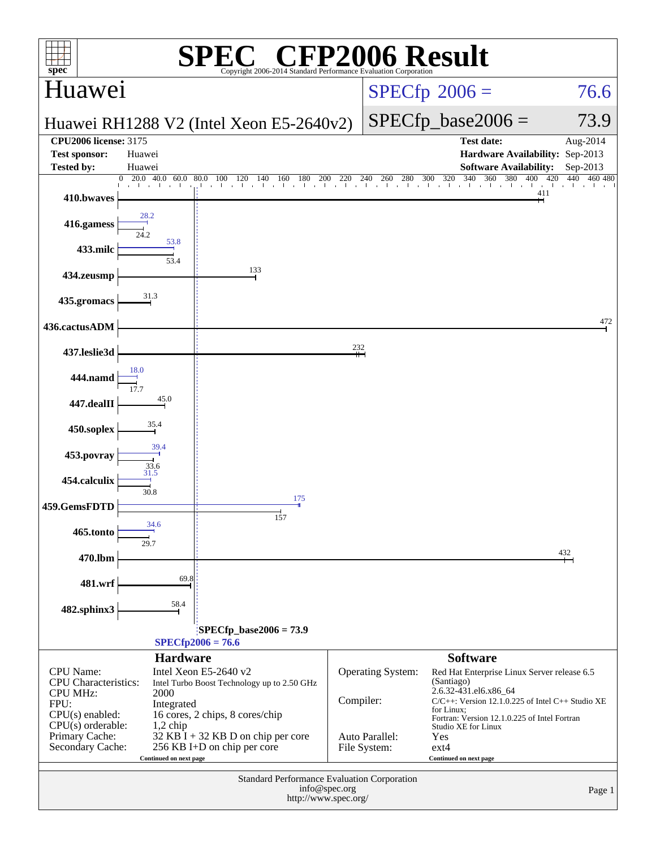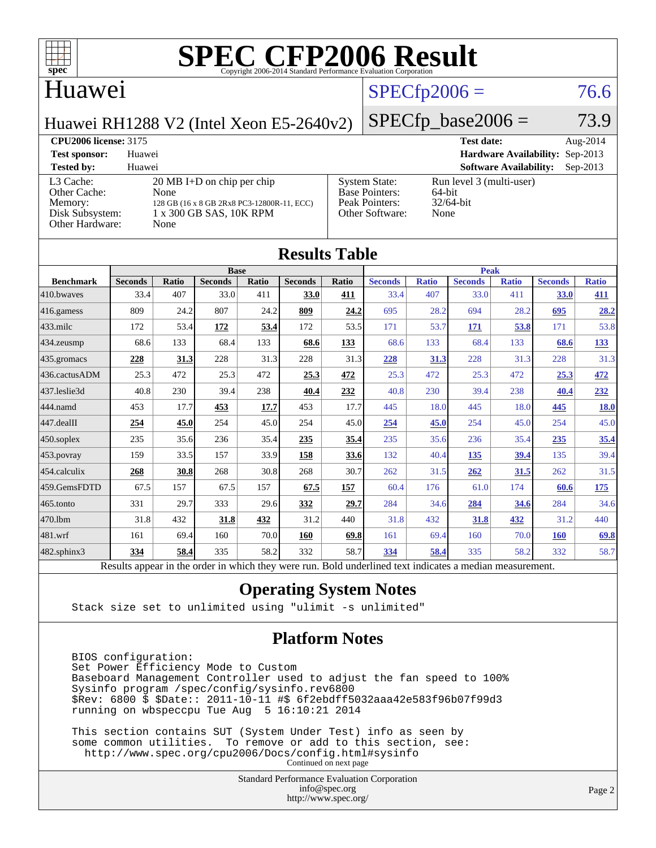![](_page_1_Picture_0.jpeg)

#### Huawei

#### $SPECTp2006 = 76.6$

Huawei RH1288 V2 (Intel Xeon E5-2640v2)

 $SPECfp\_base2006 = 73.9$ 

#### **[CPU2006 license:](http://www.spec.org/auto/cpu2006/Docs/result-fields.html#CPU2006license)** 3175 **[Test date:](http://www.spec.org/auto/cpu2006/Docs/result-fields.html#Testdate)** Aug-2014 **[Test sponsor:](http://www.spec.org/auto/cpu2006/Docs/result-fields.html#Testsponsor)** Huawei **[Hardware Availability:](http://www.spec.org/auto/cpu2006/Docs/result-fields.html#HardwareAvailability)** Sep-2013 **[Tested by:](http://www.spec.org/auto/cpu2006/Docs/result-fields.html#Testedby)** Huawei **[Software Availability:](http://www.spec.org/auto/cpu2006/Docs/result-fields.html#SoftwareAvailability)** Sep-2013 [L3 Cache:](http://www.spec.org/auto/cpu2006/Docs/result-fields.html#L3Cache) 20 MB I+D on chip per chip<br>Other Cache: None [Other Cache:](http://www.spec.org/auto/cpu2006/Docs/result-fields.html#OtherCache) [Memory:](http://www.spec.org/auto/cpu2006/Docs/result-fields.html#Memory) 128 GB (16 x 8 GB 2Rx8 PC3-12800R-11, ECC) [Disk Subsystem:](http://www.spec.org/auto/cpu2006/Docs/result-fields.html#DiskSubsystem) 1 x 300 GB SAS, 10K RPM [Other Hardware:](http://www.spec.org/auto/cpu2006/Docs/result-fields.html#OtherHardware) None [System State:](http://www.spec.org/auto/cpu2006/Docs/result-fields.html#SystemState) Run level 3 (multi-user)<br>Base Pointers: 64-bit [Base Pointers:](http://www.spec.org/auto/cpu2006/Docs/result-fields.html#BasePointers) [Peak Pointers:](http://www.spec.org/auto/cpu2006/Docs/result-fields.html#PeakPointers) 32/64-bit [Other Software:](http://www.spec.org/auto/cpu2006/Docs/result-fields.html#OtherSoftware) None

| <b>Results Table</b> |                                                                                                          |       |                |       |                |       |                |              |                |              |                |              |
|----------------------|----------------------------------------------------------------------------------------------------------|-------|----------------|-------|----------------|-------|----------------|--------------|----------------|--------------|----------------|--------------|
|                      | <b>Base</b>                                                                                              |       |                |       |                |       | <b>Peak</b>    |              |                |              |                |              |
| <b>Benchmark</b>     | <b>Seconds</b>                                                                                           | Ratio | <b>Seconds</b> | Ratio | <b>Seconds</b> | Ratio | <b>Seconds</b> | <b>Ratio</b> | <b>Seconds</b> | <b>Ratio</b> | <b>Seconds</b> | <b>Ratio</b> |
| 410.bwayes           | 33.4                                                                                                     | 407   | 33.0           | 411   | 33.0           | 411   | 33.4           | 407          | 33.0           | 411          | 33.0           | 411          |
| 416.gamess           | 809                                                                                                      | 24.2  | 807            | 24.2  | 809            | 24.2  | 695            | 28.2         | 694            | 28.2         | 695            | 28.2         |
| $433$ .milc          | 172                                                                                                      | 53.4  | 172            | 53.4  | 172            | 53.5  | 171            | 53.7         | 171            | 53.8         | 171            | 53.8         |
| $434$ . zeusmp       | 68.6                                                                                                     | 133   | 68.4           | 133   | 68.6           | 133   | 68.6           | 133          | 68.4           | 133          | 68.6           | 133          |
| 435.gromacs          | 228                                                                                                      | 31.3  | 228            | 31.3  | 228            | 31.3  | 228            | 31.3         | 228            | 31.3         | 228            | 31.3         |
| 436.cactusADM        | 25.3                                                                                                     | 472   | 25.3           | 472   | 25.3           | 472   | 25.3           | 472          | 25.3           | 472          | 25.3           | 472          |
| 437.leslie3d         | 40.8                                                                                                     | 230   | 39.4           | 238   | 40.4           | 232   | 40.8           | 230          | 39.4           | 238          | 40.4           | 232          |
| 444.namd             | 453                                                                                                      | 17.7  | 453            | 17.7  | 453            | 17.7  | 445            | 18.0         | 445            | 18.0         | 445            | <b>18.0</b>  |
| 447.dealII           | 254                                                                                                      | 45.0  | 254            | 45.0  | 254            | 45.0  | 254            | 45.0         | 254            | 45.0         | 254            | 45.0         |
| $450$ .soplex        | 235                                                                                                      | 35.6  | 236            | 35.4  | 235            | 35.4  | 235            | 35.6         | 236            | 35.4         | 235            | 35.4         |
| $453$ .povray        | 159                                                                                                      | 33.5  | 157            | 33.9  | 158            | 33.6  | 132            | 40.4         | 135            | 39.4         | 135            | 39.4         |
| 454.calculix         | 268                                                                                                      | 30.8  | 268            | 30.8  | 268            | 30.7  | 262            | 31.5         | 262            | 31.5         | 262            | 31.5         |
| 459.GemsFDTD         | 67.5                                                                                                     | 157   | 67.5           | 157   | 67.5           | 157   | 60.4           | 176          | 61.0           | 174          | 60.6           | <u>175</u>   |
| $465$ .tonto         | 331                                                                                                      | 29.7  | 333            | 29.6  | 332            | 29.7  | 284            | 34.6         | 284            | 34.6         | 284            | 34.6         |
| 470.1bm              | 31.8                                                                                                     | 432   | 31.8           | 432   | 31.2           | 440   | 31.8           | 432          | 31.8           | 432          | 31.2           | 440          |
| 481.wrf              | 161                                                                                                      | 69.4  | 160            | 70.0  | 160            | 69.8  | 161            | 69.4         | 160            | 70.0         | <b>160</b>     | 69.8         |
| $482$ .sphinx $3$    | 334                                                                                                      | 58.4  | 335            | 58.2  | 332            | 58.7  | 334            | 58.4         | 335            | 58.2         | 332            | 58.7         |
|                      | Results appear in the order in which they were run. Bold underlined text indicates a median measurement. |       |                |       |                |       |                |              |                |              |                |              |

#### **[Operating System Notes](http://www.spec.org/auto/cpu2006/Docs/result-fields.html#OperatingSystemNotes)**

Stack size set to unlimited using "ulimit -s unlimited"

#### **[Platform Notes](http://www.spec.org/auto/cpu2006/Docs/result-fields.html#PlatformNotes)**

 BIOS configuration: Set Power Efficiency Mode to Custom Baseboard Management Controller used to adjust the fan speed to 100% Sysinfo program /spec/config/sysinfo.rev6800 \$Rev: 6800 \$ \$Date:: 2011-10-11 #\$ 6f2ebdff5032aaa42e583f96b07f99d3 running on wbspeccpu Tue Aug 5 16:10:21 2014

 This section contains SUT (System Under Test) info as seen by some common utilities. To remove or add to this section, see: <http://www.spec.org/cpu2006/Docs/config.html#sysinfo> Continued on next page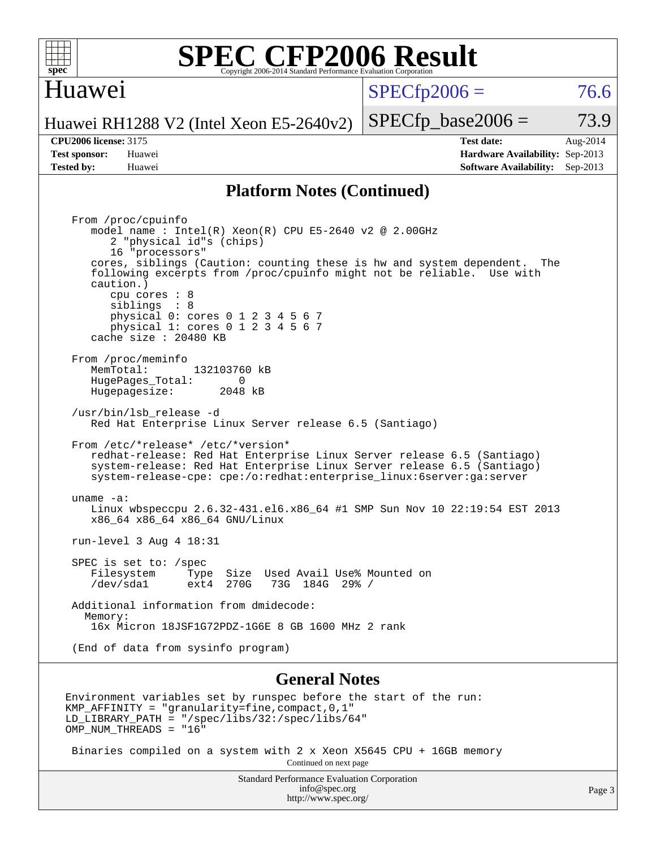![](_page_2_Picture_0.jpeg)

#### Huawei

 $SPECTp2006 = 76.6$ 

Huawei RH1288 V2 (Intel Xeon E5-2640v2)

**[Tested by:](http://www.spec.org/auto/cpu2006/Docs/result-fields.html#Testedby)** Huawei **[Software Availability:](http://www.spec.org/auto/cpu2006/Docs/result-fields.html#SoftwareAvailability)** Sep-2013

**[CPU2006 license:](http://www.spec.org/auto/cpu2006/Docs/result-fields.html#CPU2006license)** 3175 **[Test date:](http://www.spec.org/auto/cpu2006/Docs/result-fields.html#Testdate)** Aug-2014 **[Test sponsor:](http://www.spec.org/auto/cpu2006/Docs/result-fields.html#Testsponsor)** Huawei **[Hardware Availability:](http://www.spec.org/auto/cpu2006/Docs/result-fields.html#HardwareAvailability)** Sep-2013

 $SPECTp\_base2006 = 73.9$ 

#### **[Platform Notes \(Continued\)](http://www.spec.org/auto/cpu2006/Docs/result-fields.html#PlatformNotes)**

 From /proc/cpuinfo model name : Intel(R) Xeon(R) CPU E5-2640 v2 @ 2.00GHz 2 "physical id"s (chips) 16 "processors" cores, siblings (Caution: counting these is hw and system dependent. The following excerpts from /proc/cpuinfo might not be reliable. Use with caution.) cpu cores : 8 siblings : 8 physical 0: cores 0 1 2 3 4 5 6 7 physical 1: cores 0 1 2 3 4 5 6 7 cache size : 20480 KB From /proc/meminfo MemTotal: 132103760 kB<br>HugePages Total: 0 HugePages\_Total: 0 Hugepagesize: 2048 kB /usr/bin/lsb\_release -d Red Hat Enterprise Linux Server release 6.5 (Santiago) From /etc/\*release\* /etc/\*version\* redhat-release: Red Hat Enterprise Linux Server release 6.5 (Santiago) system-release: Red Hat Enterprise Linux Server release 6.5 (Santiago) system-release-cpe: cpe:/o:redhat:enterprise\_linux:6server:ga:server uname -a: Linux wbspeccpu 2.6.32-431.el6.x86\_64 #1 SMP Sun Nov 10 22:19:54 EST 2013 x86\_64 x86\_64 x86\_64 GNU/Linux run-level 3 Aug 4 18:31 SPEC is set to: /spec<br>Filesystem Type Type Size Used Avail Use% Mounted on /dev/sda1 ext4 270G 73G 184G 29% / Additional information from dmidecode: Memory: 16x Micron 18JSF1G72PDZ-1G6E 8 GB 1600 MHz 2 rank (End of data from sysinfo program)

#### **[General Notes](http://www.spec.org/auto/cpu2006/Docs/result-fields.html#GeneralNotes)**

Environment variables set by runspec before the start of the run: KMP\_AFFINITY = "granularity=fine,compact,0,1" LD\_LIBRARY\_PATH = "/spec/libs/32:/spec/libs/64" OMP NUM THREADS = "16"

 Binaries compiled on a system with 2 x Xeon X5645 CPU + 16GB memory Continued on next page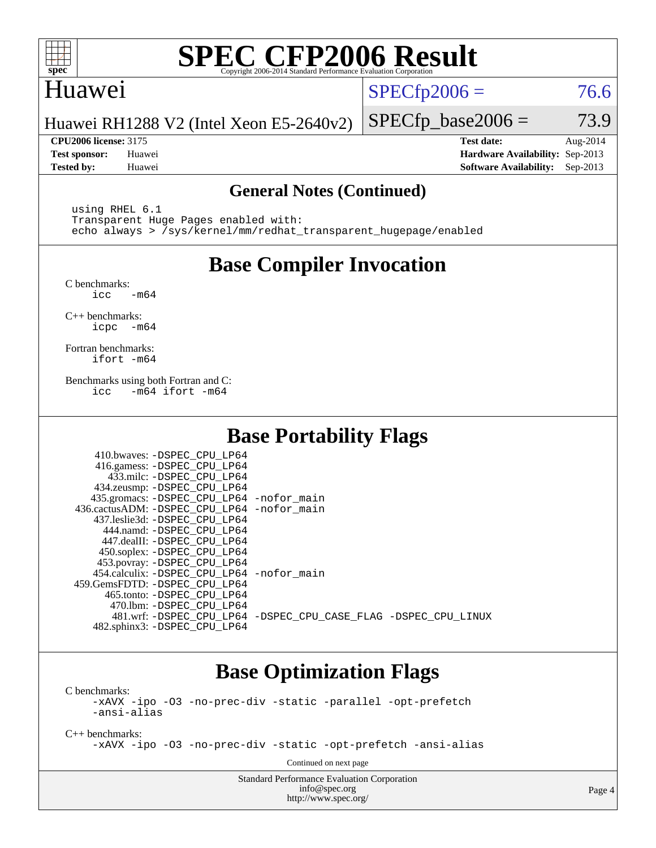![](_page_3_Picture_0.jpeg)

### Huawei

 $SPECTp2006 = 76.6$ 

Huawei RH1288 V2 (Intel Xeon E5-2640v2)

**[CPU2006 license:](http://www.spec.org/auto/cpu2006/Docs/result-fields.html#CPU2006license)** 3175 **[Test date:](http://www.spec.org/auto/cpu2006/Docs/result-fields.html#Testdate)** Aug-2014 **[Test sponsor:](http://www.spec.org/auto/cpu2006/Docs/result-fields.html#Testsponsor)** Huawei **[Hardware Availability:](http://www.spec.org/auto/cpu2006/Docs/result-fields.html#HardwareAvailability)** Sep-2013 **[Tested by:](http://www.spec.org/auto/cpu2006/Docs/result-fields.html#Testedby)** Huawei **[Software Availability:](http://www.spec.org/auto/cpu2006/Docs/result-fields.html#SoftwareAvailability)** Sep-2013

 $SPECTp\_base2006 = 73.9$ 

#### **[General Notes \(Continued\)](http://www.spec.org/auto/cpu2006/Docs/result-fields.html#GeneralNotes)**

 using RHEL 6.1 Transparent Huge Pages enabled with: echo always > /sys/kernel/mm/redhat\_transparent\_hugepage/enabled

## **[Base Compiler Invocation](http://www.spec.org/auto/cpu2006/Docs/result-fields.html#BaseCompilerInvocation)**

[C benchmarks](http://www.spec.org/auto/cpu2006/Docs/result-fields.html#Cbenchmarks):  $\text{icc}$   $-\text{m64}$ 

[C++ benchmarks:](http://www.spec.org/auto/cpu2006/Docs/result-fields.html#CXXbenchmarks) [icpc -m64](http://www.spec.org/cpu2006/results/res2014q3/cpu2006-20140811-30879.flags.html#user_CXXbase_intel_icpc_64bit_bedb90c1146cab66620883ef4f41a67e)

[Fortran benchmarks](http://www.spec.org/auto/cpu2006/Docs/result-fields.html#Fortranbenchmarks): [ifort -m64](http://www.spec.org/cpu2006/results/res2014q3/cpu2006-20140811-30879.flags.html#user_FCbase_intel_ifort_64bit_ee9d0fb25645d0210d97eb0527dcc06e)

[Benchmarks using both Fortran and C](http://www.spec.org/auto/cpu2006/Docs/result-fields.html#BenchmarksusingbothFortranandC): [icc -m64](http://www.spec.org/cpu2006/results/res2014q3/cpu2006-20140811-30879.flags.html#user_CC_FCbase_intel_icc_64bit_0b7121f5ab7cfabee23d88897260401c) [ifort -m64](http://www.spec.org/cpu2006/results/res2014q3/cpu2006-20140811-30879.flags.html#user_CC_FCbase_intel_ifort_64bit_ee9d0fb25645d0210d97eb0527dcc06e)

## **[Base Portability Flags](http://www.spec.org/auto/cpu2006/Docs/result-fields.html#BasePortabilityFlags)**

| 410.bwaves: -DSPEC CPU LP64<br>416.gamess: -DSPEC_CPU_LP64<br>433.milc: -DSPEC CPU LP64<br>434.zeusmp: -DSPEC_CPU_LP64<br>435.gromacs: -DSPEC_CPU_LP64 -nofor_main<br>436.cactusADM: -DSPEC CPU LP64 -nofor main<br>437.leslie3d: -DSPEC_CPU LP64<br>444.namd: -DSPEC CPU LP64<br>447.dealII: -DSPEC CPU LP64 |                                                                |
|---------------------------------------------------------------------------------------------------------------------------------------------------------------------------------------------------------------------------------------------------------------------------------------------------------------|----------------------------------------------------------------|
| 450.soplex: -DSPEC_CPU_LP64<br>453.povray: -DSPEC_CPU_LP64<br>454.calculix: - DSPEC CPU LP64 - nofor main<br>459.GemsFDTD: - DSPEC_CPU LP64<br>465.tonto: - DSPEC CPU LP64                                                                                                                                    |                                                                |
| 470.1bm: - DSPEC CPU LP64<br>482.sphinx3: -DSPEC_CPU_LP64                                                                                                                                                                                                                                                     | 481.wrf: -DSPEC CPU_LP64 -DSPEC_CPU_CASE_FLAG -DSPEC_CPU_LINUX |

### **[Base Optimization Flags](http://www.spec.org/auto/cpu2006/Docs/result-fields.html#BaseOptimizationFlags)**

[C benchmarks](http://www.spec.org/auto/cpu2006/Docs/result-fields.html#Cbenchmarks): [-xAVX](http://www.spec.org/cpu2006/results/res2014q3/cpu2006-20140811-30879.flags.html#user_CCbase_f-xAVX) [-ipo](http://www.spec.org/cpu2006/results/res2014q3/cpu2006-20140811-30879.flags.html#user_CCbase_f-ipo) [-O3](http://www.spec.org/cpu2006/results/res2014q3/cpu2006-20140811-30879.flags.html#user_CCbase_f-O3) [-no-prec-div](http://www.spec.org/cpu2006/results/res2014q3/cpu2006-20140811-30879.flags.html#user_CCbase_f-no-prec-div) [-static](http://www.spec.org/cpu2006/results/res2014q3/cpu2006-20140811-30879.flags.html#user_CCbase_f-static) [-parallel](http://www.spec.org/cpu2006/results/res2014q3/cpu2006-20140811-30879.flags.html#user_CCbase_f-parallel) [-opt-prefetch](http://www.spec.org/cpu2006/results/res2014q3/cpu2006-20140811-30879.flags.html#user_CCbase_f-opt-prefetch)

[-ansi-alias](http://www.spec.org/cpu2006/results/res2014q3/cpu2006-20140811-30879.flags.html#user_CCbase_f-ansi-alias) [C++ benchmarks:](http://www.spec.org/auto/cpu2006/Docs/result-fields.html#CXXbenchmarks)

[-xAVX](http://www.spec.org/cpu2006/results/res2014q3/cpu2006-20140811-30879.flags.html#user_CXXbase_f-xAVX) [-ipo](http://www.spec.org/cpu2006/results/res2014q3/cpu2006-20140811-30879.flags.html#user_CXXbase_f-ipo) [-O3](http://www.spec.org/cpu2006/results/res2014q3/cpu2006-20140811-30879.flags.html#user_CXXbase_f-O3) [-no-prec-div](http://www.spec.org/cpu2006/results/res2014q3/cpu2006-20140811-30879.flags.html#user_CXXbase_f-no-prec-div) [-static](http://www.spec.org/cpu2006/results/res2014q3/cpu2006-20140811-30879.flags.html#user_CXXbase_f-static) [-opt-prefetch](http://www.spec.org/cpu2006/results/res2014q3/cpu2006-20140811-30879.flags.html#user_CXXbase_f-opt-prefetch) [-ansi-alias](http://www.spec.org/cpu2006/results/res2014q3/cpu2006-20140811-30879.flags.html#user_CXXbase_f-ansi-alias)

Continued on next page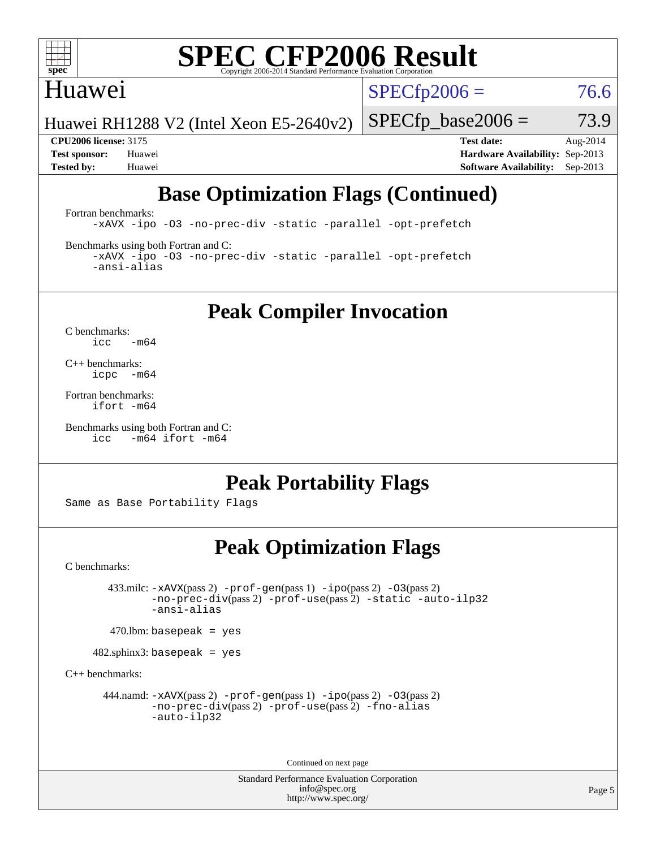![](_page_4_Picture_0.jpeg)

#### Huawei

 $SPECTp2006 = 76.6$ 

Huawei RH1288 V2 (Intel Xeon E5-2640v2)

 $SPECTp\_base2006 = 73.9$ **[CPU2006 license:](http://www.spec.org/auto/cpu2006/Docs/result-fields.html#CPU2006license)** 3175 **[Test date:](http://www.spec.org/auto/cpu2006/Docs/result-fields.html#Testdate)** Aug-2014

**[Test sponsor:](http://www.spec.org/auto/cpu2006/Docs/result-fields.html#Testsponsor)** Huawei **[Hardware Availability:](http://www.spec.org/auto/cpu2006/Docs/result-fields.html#HardwareAvailability)** Sep-2013 **[Tested by:](http://www.spec.org/auto/cpu2006/Docs/result-fields.html#Testedby)** Huawei **[Software Availability:](http://www.spec.org/auto/cpu2006/Docs/result-fields.html#SoftwareAvailability)** Sep-2013

## **[Base Optimization Flags \(Continued\)](http://www.spec.org/auto/cpu2006/Docs/result-fields.html#BaseOptimizationFlags)**

[Fortran benchmarks](http://www.spec.org/auto/cpu2006/Docs/result-fields.html#Fortranbenchmarks):

[-xAVX](http://www.spec.org/cpu2006/results/res2014q3/cpu2006-20140811-30879.flags.html#user_FCbase_f-xAVX) [-ipo](http://www.spec.org/cpu2006/results/res2014q3/cpu2006-20140811-30879.flags.html#user_FCbase_f-ipo) [-O3](http://www.spec.org/cpu2006/results/res2014q3/cpu2006-20140811-30879.flags.html#user_FCbase_f-O3) [-no-prec-div](http://www.spec.org/cpu2006/results/res2014q3/cpu2006-20140811-30879.flags.html#user_FCbase_f-no-prec-div) [-static](http://www.spec.org/cpu2006/results/res2014q3/cpu2006-20140811-30879.flags.html#user_FCbase_f-static) [-parallel](http://www.spec.org/cpu2006/results/res2014q3/cpu2006-20140811-30879.flags.html#user_FCbase_f-parallel) [-opt-prefetch](http://www.spec.org/cpu2006/results/res2014q3/cpu2006-20140811-30879.flags.html#user_FCbase_f-opt-prefetch)

[Benchmarks using both Fortran and C](http://www.spec.org/auto/cpu2006/Docs/result-fields.html#BenchmarksusingbothFortranandC):

[-xAVX](http://www.spec.org/cpu2006/results/res2014q3/cpu2006-20140811-30879.flags.html#user_CC_FCbase_f-xAVX) [-ipo](http://www.spec.org/cpu2006/results/res2014q3/cpu2006-20140811-30879.flags.html#user_CC_FCbase_f-ipo) [-O3](http://www.spec.org/cpu2006/results/res2014q3/cpu2006-20140811-30879.flags.html#user_CC_FCbase_f-O3) [-no-prec-div](http://www.spec.org/cpu2006/results/res2014q3/cpu2006-20140811-30879.flags.html#user_CC_FCbase_f-no-prec-div) [-static](http://www.spec.org/cpu2006/results/res2014q3/cpu2006-20140811-30879.flags.html#user_CC_FCbase_f-static) [-parallel](http://www.spec.org/cpu2006/results/res2014q3/cpu2006-20140811-30879.flags.html#user_CC_FCbase_f-parallel) [-opt-prefetch](http://www.spec.org/cpu2006/results/res2014q3/cpu2006-20140811-30879.flags.html#user_CC_FCbase_f-opt-prefetch) [-ansi-alias](http://www.spec.org/cpu2006/results/res2014q3/cpu2006-20140811-30879.flags.html#user_CC_FCbase_f-ansi-alias)

## **[Peak Compiler Invocation](http://www.spec.org/auto/cpu2006/Docs/result-fields.html#PeakCompilerInvocation)**

[C benchmarks](http://www.spec.org/auto/cpu2006/Docs/result-fields.html#Cbenchmarks):  $\text{icc}$  -m64

[C++ benchmarks:](http://www.spec.org/auto/cpu2006/Docs/result-fields.html#CXXbenchmarks) [icpc -m64](http://www.spec.org/cpu2006/results/res2014q3/cpu2006-20140811-30879.flags.html#user_CXXpeak_intel_icpc_64bit_bedb90c1146cab66620883ef4f41a67e)

[Fortran benchmarks](http://www.spec.org/auto/cpu2006/Docs/result-fields.html#Fortranbenchmarks): [ifort -m64](http://www.spec.org/cpu2006/results/res2014q3/cpu2006-20140811-30879.flags.html#user_FCpeak_intel_ifort_64bit_ee9d0fb25645d0210d97eb0527dcc06e)

```
Benchmarks using both Fortran and C: 
icc -m64 ifort -m64
```
## **[Peak Portability Flags](http://www.spec.org/auto/cpu2006/Docs/result-fields.html#PeakPortabilityFlags)**

Same as Base Portability Flags

### **[Peak Optimization Flags](http://www.spec.org/auto/cpu2006/Docs/result-fields.html#PeakOptimizationFlags)**

[C benchmarks](http://www.spec.org/auto/cpu2006/Docs/result-fields.html#Cbenchmarks):

 433.milc: [-xAVX](http://www.spec.org/cpu2006/results/res2014q3/cpu2006-20140811-30879.flags.html#user_peakPASS2_CFLAGSPASS2_LDFLAGS433_milc_f-xAVX)(pass 2) [-prof-gen](http://www.spec.org/cpu2006/results/res2014q3/cpu2006-20140811-30879.flags.html#user_peakPASS1_CFLAGSPASS1_LDFLAGS433_milc_prof_gen_e43856698f6ca7b7e442dfd80e94a8fc)(pass 1) [-ipo](http://www.spec.org/cpu2006/results/res2014q3/cpu2006-20140811-30879.flags.html#user_peakPASS2_CFLAGSPASS2_LDFLAGS433_milc_f-ipo)(pass 2) [-O3](http://www.spec.org/cpu2006/results/res2014q3/cpu2006-20140811-30879.flags.html#user_peakPASS2_CFLAGSPASS2_LDFLAGS433_milc_f-O3)(pass 2) [-no-prec-div](http://www.spec.org/cpu2006/results/res2014q3/cpu2006-20140811-30879.flags.html#user_peakPASS2_CFLAGSPASS2_LDFLAGS433_milc_f-no-prec-div)(pass 2) [-prof-use](http://www.spec.org/cpu2006/results/res2014q3/cpu2006-20140811-30879.flags.html#user_peakPASS2_CFLAGSPASS2_LDFLAGS433_milc_prof_use_bccf7792157ff70d64e32fe3e1250b55)(pass 2) [-static](http://www.spec.org/cpu2006/results/res2014q3/cpu2006-20140811-30879.flags.html#user_peakOPTIMIZE433_milc_f-static) [-auto-ilp32](http://www.spec.org/cpu2006/results/res2014q3/cpu2006-20140811-30879.flags.html#user_peakCOPTIMIZE433_milc_f-auto-ilp32) [-ansi-alias](http://www.spec.org/cpu2006/results/res2014q3/cpu2006-20140811-30879.flags.html#user_peakCOPTIMIZE433_milc_f-ansi-alias)

 $470$ .lbm: basepeak = yes

482.sphinx3: basepeak = yes

[C++ benchmarks:](http://www.spec.org/auto/cpu2006/Docs/result-fields.html#CXXbenchmarks)

444.namd:  $-x$ AVX(pass 2)  $-p$ rof-gen(pass 1)  $-p$ po(pass 2)  $-03$ (pass 2) [-no-prec-div](http://www.spec.org/cpu2006/results/res2014q3/cpu2006-20140811-30879.flags.html#user_peakPASS2_CXXFLAGSPASS2_LDFLAGS444_namd_f-no-prec-div)(pass 2) [-prof-use](http://www.spec.org/cpu2006/results/res2014q3/cpu2006-20140811-30879.flags.html#user_peakPASS2_CXXFLAGSPASS2_LDFLAGS444_namd_prof_use_bccf7792157ff70d64e32fe3e1250b55)(pass 2) [-fno-alias](http://www.spec.org/cpu2006/results/res2014q3/cpu2006-20140811-30879.flags.html#user_peakCXXOPTIMIZEOPTIMIZE444_namd_f-no-alias_694e77f6c5a51e658e82ccff53a9e63a) [-auto-ilp32](http://www.spec.org/cpu2006/results/res2014q3/cpu2006-20140811-30879.flags.html#user_peakCXXOPTIMIZE444_namd_f-auto-ilp32)

Continued on next page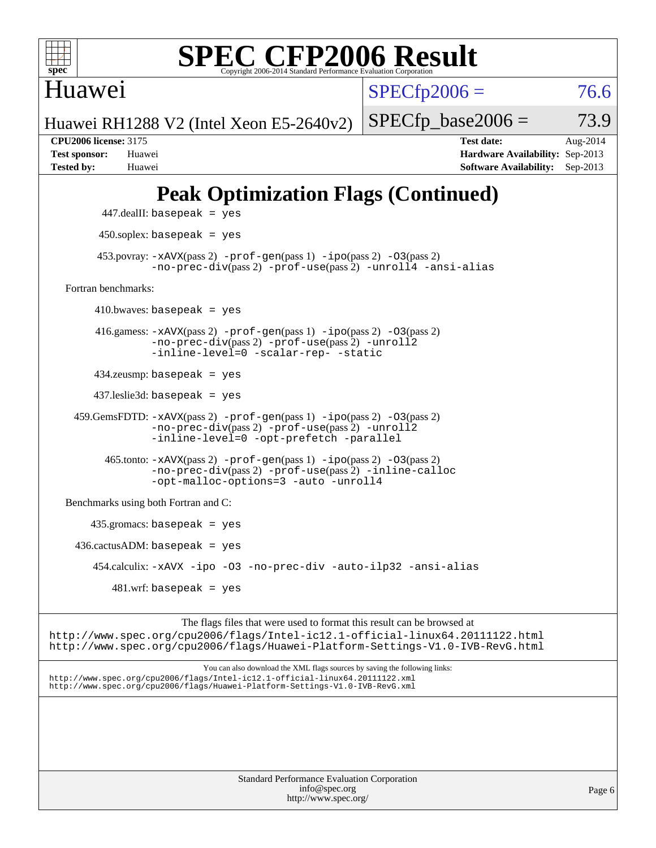![](_page_5_Picture_0.jpeg)

Huawei

 $SPECTp2006 = 76.6$ 

Huawei RH1288 V2 (Intel Xeon E5-2640v2)

**[CPU2006 license:](http://www.spec.org/auto/cpu2006/Docs/result-fields.html#CPU2006license)** 3175 **[Test date:](http://www.spec.org/auto/cpu2006/Docs/result-fields.html#Testdate)** Aug-2014 **[Test sponsor:](http://www.spec.org/auto/cpu2006/Docs/result-fields.html#Testsponsor)** Huawei **[Hardware Availability:](http://www.spec.org/auto/cpu2006/Docs/result-fields.html#HardwareAvailability)** Sep-2013 **[Tested by:](http://www.spec.org/auto/cpu2006/Docs/result-fields.html#Testedby)** Huawei **[Software Availability:](http://www.spec.org/auto/cpu2006/Docs/result-fields.html#SoftwareAvailability)** Sep-2013

 $SPECTp\_base2006 = 73.9$ 

## **[Peak Optimization Flags \(Continued\)](http://www.spec.org/auto/cpu2006/Docs/result-fields.html#PeakOptimizationFlags)**

![](_page_5_Figure_10.jpeg)

<http://www.spec.org/>